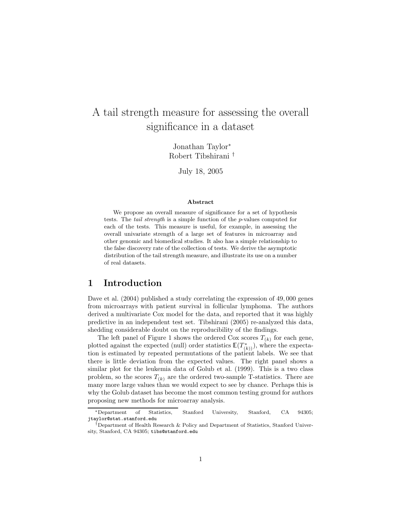# A tail strength measure for assessing the overall significance in a dataset

Jonathan Taylor<sup>∗</sup> Robert Tibshirani †

July 18, 2005

#### Abstract

We propose an overall measure of significance for a set of hypothesis tests. The tail strength is a simple function of the p-values computed for each of the tests. This measure is useful, for example, in assessing the overall univariate strength of a large set of features in microarray and other genomic and biomedical studies. It also has a simple relationship to the false discovery rate of the collection of tests. We derive the asymptotic distribution of the tail strength measure, and illustrate its use on a number of real datasets.

### 1 Introduction

Dave et al. (2004) published a study correlating the expression of 49,000 genes from microarrays with patient survival in follicular lymphoma. The authors derived a multivariate Cox model for the data, and reported that it was highly predictive in an independent test set. Tibshirani (2005) re-analyzed this data, shedding considerable doubt on the reproducibility of the findings.

The left panel of Figure 1 shows the ordered Cox scores  $T_{(k)}$  for each gene, plotted against the expected (null) order statistics  $\mathbb{E}(T^*_{(k)})$ , where the expectation is estimated by repeated permutations of the patient labels. We see that there is little deviation from the expected values. The right panel shows a similar plot for the leukemia data of Golub et al. (1999). This is a two class problem, so the scores  $T_{(k)}$  are the ordered two-sample T-statistics. There are many more large values than we would expect to see by chance. Perhaps this is why the Golub dataset has become the most common testing ground for authors proposing new methods for microarray analysis.

<sup>∗</sup>Department of Statistics, Stanford University, Stanford, CA 94305; jtaylor@stat.stanford.edu

<sup>†</sup>Department of Health Research & Policy and Department of Statistics, Stanford University, Stanford, CA 94305; tibs@stanford.edu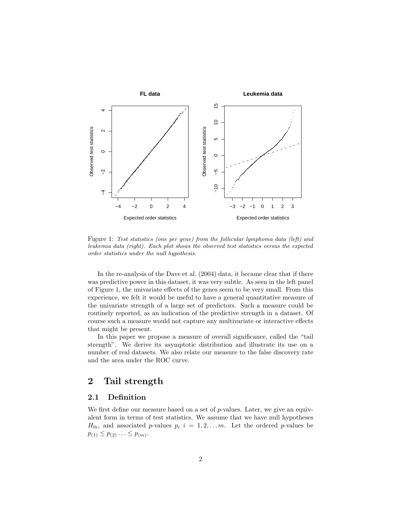

Figure 1: Test statistics (one per gene) from the follicular lymphoma data (left) and leukemia data (right). Each plot shows the observed test statistics versus the expected order statistics under the null hypothesis.

In the re-analysis of the Dave et al. (2004) data, it became clear that if there was predictive power in this dataset, it was very subtle. As seen in the left panel of Figure 1, the univariate effects of the genes seem to be very small. From this experience, we felt it would be useful to have a general quantitative measure of the univariate strength of a large set of predictors. Such a measure could be routinely reported, as an indication of the predictive strength in a dataset. Of course such a measure would not capture any multivariate or interactive effects that might be present.

In this paper we propose a measure of overall significance, called the "tail strength". We derive its asymptotic distribution and illustrate its use on a number of real datasets. We also relate our measure to the false discovery rate and the area under the ROC curve.

### 2 Tail strength

### 2.1 Definition

We first define our measure based on a set of  $p$ -values. Later, we give an equivalent form in terms of test statistics. We assume that we have null hypotheses  $H_{0i}$ , and associated p-values  $p_i$   $i = 1, 2, \ldots m$ . Let the ordered p-values be  $p_{(1)} \leq p_{(2)} \ldots \leq p_{(m)}$ .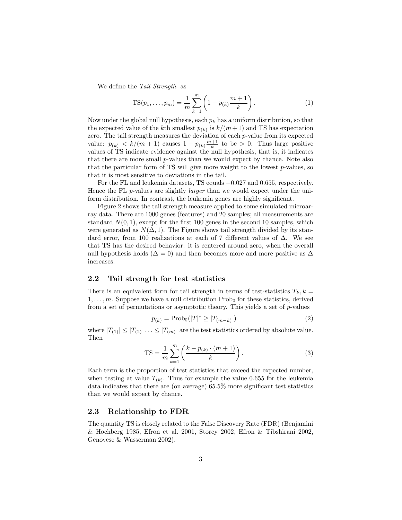We define the Tail Strength as

TS
$$
(p_1, ..., p_m) = \frac{1}{m} \sum_{k=1}^{m} \left( 1 - p_{(k)} \frac{m+1}{k} \right).
$$
 (1)

Now under the global null hypothesis, each  $p_k$  has a uniform distribution, so that the expected value of the k<sup>th</sup> smallest  $p_{(k)}$  is  $k/(m+1)$  and TS has expectation zero. The tail strength measures the deviation of each  $p$ -value from its expected value:  $p_{(k)} < k/(m+1)$  causes  $1 - p_{(k)} \frac{m+1}{k}$  to be > 0. Thus large positive values of TS indicate evidence against the null hypothesis, that is, it indicates that there are more small p-values than we would expect by chance. Note also that the particular form of TS will give more weight to the lowest  $p$ -values, so that it is most sensitive to deviations in the tail.

For the FL and leukemia datasets, TS equals −0.027 and 0.655, respectively. Hence the FL p-values are slightly *larger* than we would expect under the uniform distribution. In contrast, the leukemia genes are highly significant.

Figure 2 shows the tail strength measure applied to some simulated microarray data. There are 1000 genes (features) and 20 samples; all measurements are standard  $N(0, 1)$ , except for the first 100 genes in the second 10 samples, which were generated as  $N(\Delta, 1)$ . The Figure shows tail strength divided by its standard error, from 100 realizations at each of 7 different values of ∆. We see that TS has the desired behavior: it is centered around zero, when the overall null hypothesis holds ( $\Delta = 0$ ) and then becomes more and more positive as  $\Delta$ increases.

#### 2.2 Tail strength for test statistics

There is an equivalent form for tail strength in terms of test-statistics  $T_k$ ,  $k =$  $1, \ldots, m$ . Suppose we have a null distribution  $\text{Prob}_0$  for these statistics, derived from a set of permutations or asymptotic theory. This yields a set of p-values

$$
p_{(k)} = \text{Prob}_0(|T|^* \ge |T_{(m-k)}|) \tag{2}
$$

where  $|T_{(1)}| \leq |T_{(2)}| \ldots \leq |T_{(m)}|$  are the test statistics ordered by absolute value. Then

$$
TS = \frac{1}{m} \sum_{k=1}^{m} \left( \frac{k - p_{(k)} \cdot (m+1)}{k} \right).
$$
 (3)

Each term is the proportion of test statistics that exceed the expected number, when testing at value  $T_{(k)}$ . Thus for example the value 0.655 for the leukemia data indicates that there are (on average) 65.5% more significant test statistics than we would expect by chance.

#### 2.3 Relationship to FDR

The quantity TS is closely related to the False Discovery Rate (FDR) (Benjamini & Hochberg 1985, Efron et al. 2001, Storey 2002, Efron & Tibshirani 2002, Genovese & Wasserman 2002).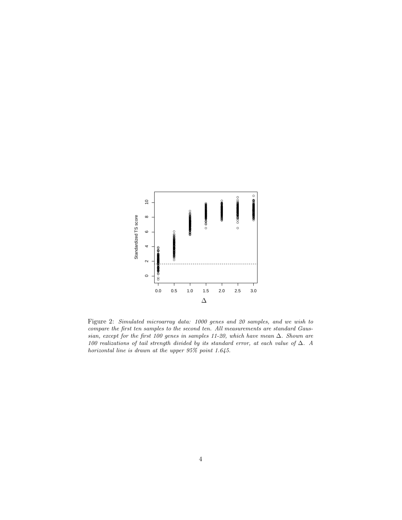

Figure 2: Simulated microarray data: 1000 genes and 20 samples, and we wish to compare the first ten samples to the second ten. All measurements are standard Gaussian, except for the first 100 genes in samples 11-20, which have mean ∆. Shown are 100 realizations of tail strength divided by its standard error, at each value of ∆. A horizontal line is drawn at the upper 95% point 1.645.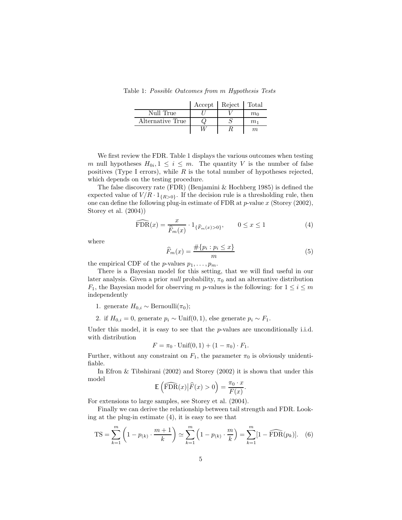Table 1: Possible Outcomes from m Hypothesis Tests

|                  | Accept   Reject   Total |                |
|------------------|-------------------------|----------------|
| Null True        |                         | m <sub>0</sub> |
| Alternative True |                         | m <sub>1</sub> |
|                  |                         | m.             |

We first review the FDR. Table 1 displays the various outcomes when testing m null hypotheses  $H_{0i}, 1 \leq i \leq m$ . The quantity V is the number of false positives (Type I errors), while  $R$  is the total number of hypotheses rejected, which depends on the testing procedure.

The false discovery rate (FDR) (Benjamini & Hochberg 1985) is defined the expected value of  $V/R \cdot 1_{\{R>0\}}$ . If the decision rule is a thresholding rule, then one can define the following plug-in estimate of FDR at  $p$ -value  $x$  (Storey (2002), Storey et al. (2004))

$$
\widehat{\text{FDR}}(x) = \frac{x}{\widehat{F}_m(x)} \cdot 1_{\{\widehat{F}_m(x) > 0\}}, \qquad 0 \le x \le 1 \tag{4}
$$

where

$$
\widehat{F}_m(x) = \frac{\#\{p_i : p_i \le x\}}{m} \tag{5}
$$

the empirical CDF of the *p*-values  $p_1, \ldots, p_m$ .

There is a Bayesian model for this setting, that we will find useful in our later analysis. Given a prior *null* probability,  $\pi_0$  and an alternative distribution  $F_1$ , the Bayesian model for observing m p-values is the following: for  $1 \leq i \leq m$ independently

- 1. generate  $H_{0,i} \sim \text{Bernoulli}(\pi_0);$
- 2. if  $H_{0,i} = 0$ , generate  $p_i \sim \text{Unif}(0,1)$ , else generate  $p_i \sim F_1$ .

Under this model, it is easy to see that the  $p$ -values are unconditionally i.i.d. with distribution

$$
F = \pi_0 \cdot \text{Unif}(0, 1) + (1 - \pi_0) \cdot F_1.
$$

Further, without any constraint on  $F_1$ , the parameter  $\pi_0$  is obviously unidentifiable.

In Efron & Tibshirani (2002) and Storey (2002) it is shown that under this model

$$
\mathbb{E}\left(\widehat{\text{FDR}}(x)\big|\widehat{F}(x)>0\right)=\frac{\pi_0\cdot x}{F(x)}.
$$

For extensions to large samples, see Storey et al. (2004).

Finally we can derive the relationship between tail strength and FDR. Looking at the plug-in estimate (4), it is easy to see that

$$
TS = \sum_{k=1}^{m} \left( 1 - p_{(k)} \cdot \frac{m+1}{k} \right) \simeq \sum_{k=1}^{m} \left( 1 - p_{(k)} \cdot \frac{m}{k} \right) = \sum_{k=1}^{m} [1 - \widehat{\text{FDR}}(p_k)]. \tag{6}
$$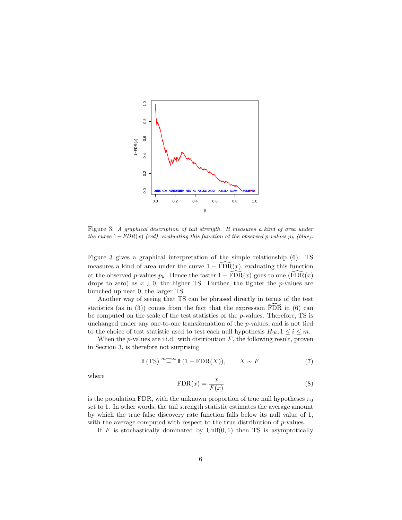

Figure 3: A graphical description of tail strength. It measures a kind of area under the curve  $1-FDR(x)$  (red), evaluating this function at the observed p-values  $p_k$  (blue).

Figure 3 gives a graphical interpretation of the simple relationship (6): TS measures a kind of area under the curve  $1 - \widehat{FDR}(x)$ , evaluating this function at the observed p-values  $p_k$ . Hence the faster  $1 - \widehat{FDR}(x)$  goes to one  $(\widehat{FDR}(x))$ drops to zero) as  $x \downarrow 0$ , the higher TS. Further, the tighter the p-values are bunched up near 0, the larger TS.

Another way of seeing that TS can be phrased directly in terms of the test statistics (as in (3)) comes from the fact that the expression  $\widehat{FDR}$  in (6) can be computed on the scale of the test statistics or the p-values. Therefore, TS is unchanged under any one-to-one transformation of the p-values, and is not tied to the choice of test statistic used to test each null hypothesis  $H_{0i}$ ,  $1 \leq i \leq m$ .

When the  $p$ -values are i.i.d. with distribution  $F$ , the following result, proven in Section 3, is therefore not surprising

$$
\mathbb{E}(\text{TS}) \overset{m \to \infty}{=} \mathbb{E}(1 - \text{FDR}(X)), \qquad X \sim F \tag{7}
$$

where

$$
FDR(x) = \frac{x}{F(x)}
$$
\n(8)

is the population FDR, with the unknown proportion of true null hypotheses  $\pi_0$ set to 1. In other words, the tail strength statistic estimates the average amount by which the true false discovery rate function falls below its null value of 1, with the average computed with respect to the true distribution of  $p$ -values.

If  $F$  is stochastically dominated by  $Unif(0, 1)$  then TS is asymptotically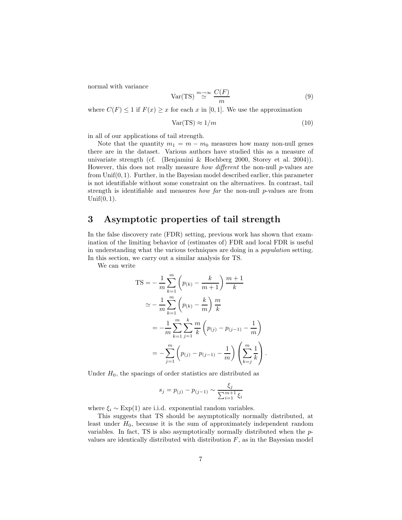normal with variance

$$
Var(TS) \stackrel{m \to \infty}{\simeq} \frac{C(F)}{m} \tag{9}
$$

where  $C(F) \leq 1$  if  $F(x) \geq x$  for each x in [0, 1]. We use the approximation

$$
Var(TS) \approx 1/m \tag{10}
$$

in all of our applications of tail strength.

Note that the quantity  $m_1 = m - m_0$  measures how many non-null genes there are in the dataset. Various authors have studied this as a measure of univariate strength (cf. (Benjamini & Hochberg 2000, Storey et al. 2004)). However, this does not really measure *how different* the non-null  $p$ -values are from  $Unif(0, 1)$ . Further, in the Bayesian model described earlier, this parameter is not identifiable without some constraint on the alternatives. In contrast, tail strength is identifiable and measures *how far* the non-null  $p$ -values are from Unif $(0, 1)$ .

### 3 Asymptotic properties of tail strength

In the false discovery rate (FDR) setting, previous work has shown that examination of the limiting behavior of (estimates of) FDR and local FDR is useful in understanding what the various techniques are doing in a population setting. In this section, we carry out a similar analysis for TS.

We can write

$$
TS = -\frac{1}{m} \sum_{k=1}^{m} \left( p_{(k)} - \frac{k}{m+1} \right) \frac{m+1}{k}
$$
  
\n
$$
\approx -\frac{1}{m} \sum_{k=1}^{m} \left( p_{(k)} - \frac{k}{m} \right) \frac{m}{k}
$$
  
\n
$$
= -\frac{1}{m} \sum_{k=1}^{m} \sum_{j=1}^{k} \frac{m}{k} \left( p_{(j)} - p_{(j-1)} - \frac{1}{m} \right)
$$
  
\n
$$
= -\sum_{j=1}^{m} \left( p_{(j)} - p_{(j-1)} - \frac{1}{m} \right) \left( \sum_{k=j}^{m} \frac{1}{k} \right).
$$

Under  $H_0$ , the spacings of order statistics are distributed as

$$
s_j = p_{(j)} - p_{(j-1)} \sim \frac{\xi_j}{\sum_{i=1}^{m+1} \xi_i}
$$

where  $\xi_i \sim \text{Exp}(1)$  are i.i.d. exponential random variables.

This suggests that TS should be asymptotically normally distributed, at least under  $H_0$ , because it is the sum of approximately independent random variables. In fact, TS is also asymptotically normally distributed when the pvalues are identically distributed with distribution  $F$ , as in the Bayesian model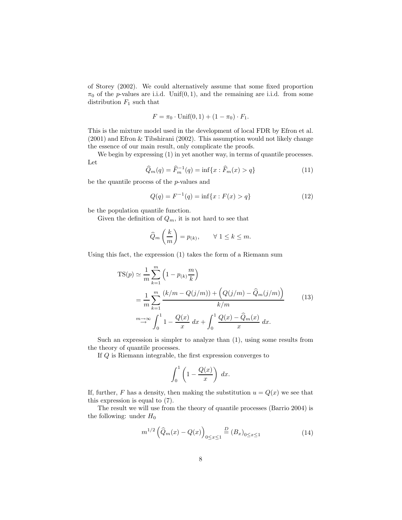of Storey (2002). We could alternatively assume that some fixed proportion  $\pi_0$  of the *p*-values are i.i.d. Unif(0, 1), and the remaining are i.i.d. from some distribution  $F_1$  such that

$$
F = \pi_0 \cdot \text{Unif}(0, 1) + (1 - \pi_0) \cdot F_1.
$$

This is the mixture model used in the development of local FDR by Efron et al. (2001) and Efron & Tibshirani (2002). This assumption would not likely change the essence of our main result, only complicate the proofs.

We begin by expressing  $(1)$  in yet another way, in terms of quantile processes. Let

$$
\widehat{Q}_m(q) = \widehat{F}_m^{-1}(q) = \inf\{x : \widehat{F}_m(x) > q\}
$$
\n(11)

be the quantile process of the p-values and

$$
Q(q) = F^{-1}(q) = \inf\{x : F(x) > q\}
$$
\n(12)

be the population quantile function.

Given the definition of  $Q_m$ , it is not hard to see that

$$
\widehat{Q}_m\left(\frac{k}{m}\right) = p_{(k)}, \qquad \forall \ 1 \leq k \leq m.
$$

Using this fact, the expression (1) takes the form of a Riemann sum

$$
TS(p) \simeq \frac{1}{m} \sum_{k=1}^{m} \left( 1 - p_{(k)} \frac{m}{k} \right)
$$
  
= 
$$
\frac{1}{m} \sum_{k=1}^{m} \frac{(k/m - Q(j/m)) + (Q(j/m) - \hat{Q}_m(j/m))}{k/m}
$$
  

$$
\xrightarrow{m \to \infty} \int_0^1 1 - \frac{Q(x)}{x} dx + \int_0^1 \frac{Q(x) - \hat{Q}_m(x)}{x} dx.
$$
 (13)

Such an expression is simpler to analyze than (1), using some results from the theory of quantile processes.

If Q is Riemann integrable, the first expression converges to

$$
\int_0^1 \left(1 - \frac{Q(x)}{x}\right) \, dx.
$$

If, further, F has a density, then making the substitution  $u = Q(x)$  we see that this expression is equal to (7).

The result we will use from the theory of quantile processes (Barrio 2004) is the following: under  $H_0$ 

$$
m^{1/2} \left( \hat{Q}_m(x) - Q(x) \right)_{0 \le x \le 1} \stackrel{D}{=} (B_x)_{0 \le x \le 1} \tag{14}
$$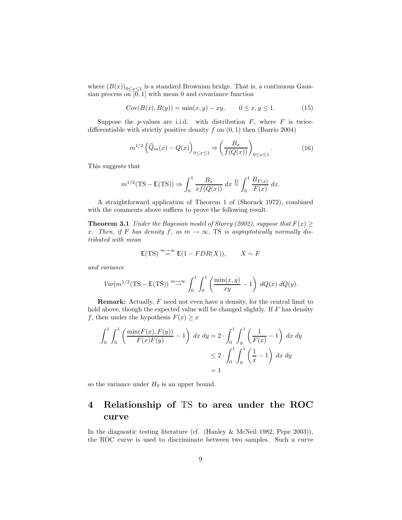where  $(B(x))_{0 \le x \le 1}$  is a standard Brownian bridge. That is, a continuous Gaussian process on  $[0, 1]$  with mean 0 and covariance function

$$
Cov(B(x), B(y)) = \min(x, y) - xy, \qquad 0 \le x, y \le 1. \tag{15}
$$

Suppose the *p*-values are i.i.d. with distribution  $F$ , where  $F$  is twicedifferentiable with strictly positive density  $f$  on  $(0, 1)$  then (Barrio 2004)

$$
m^{1/2}\left(\widehat{Q}_m(x) - Q(x)\right)_{0 \le x \le 1} \Rightarrow \left(\frac{B_x}{f(Q(x))}\right)_{0 \le x \le 1}.\tag{16}
$$

This suggests that

$$
m^{1/2}(\text{TS} - \mathbb{E}(\text{TS})) \Rightarrow \int_0^1 \frac{B_x}{xf(Q(x))} dx \stackrel{D}{=} \int_0^1 \frac{B_{F(x)}}{F(x)} dx.
$$

A straightforward application of Theorem 1 of (Shorack 1972), combined with the comments above suffices to prove the following result.

**Theorem 3.1** Under the Bayesian model of Storey (2002), suppose that  $F(x) \geq$ x. Then, if F has density f, as  $m \to \infty$ , TS is asymptotically normally distributed with mean

$$
\mathbb{E}(\text{TS}) \stackrel{m \to \infty}{=} \mathbb{E}(1 - FDR(X)), \qquad X \sim F
$$

and variance

$$
Var(m^{1/2}(\text{TS} - \mathbb{E}(\text{TS})) \stackrel{m \to \infty}{\to} \int_0^1 \int_0^1 \left( \frac{\min(x, y)}{xy} - 1 \right) dQ(x) dQ(y).
$$

**Remark:** Actually,  $F$  need not even have a density, for the central limit to hold above, though the expected value will be changed slightly. If  $F$  has density f, then under the hypothesis  $F(x) \geq x$ 

$$
\int_0^1 \int_0^1 \left( \frac{\min(F(x), F(y))}{F(x)F(y)} - 1 \right) dx dy = 2 \cdot \int_0^1 \int_y^1 \left( \frac{1}{F(x)} - 1 \right) dx dy
$$
  

$$
\leq 2 \cdot \int_0^1 \int_y^1 \left( \frac{1}{x} - 1 \right) dx dy
$$
  

$$
= 1
$$

so the variance under  $H_0$  is an upper bound.

## 4 Relationship of TS to area under the ROC curve

In the diagnostic testing literature (cf. (Hanley & McNeil 1982, Pepe 2003)), the ROC curve is used to discriminate between two samples. Such a curve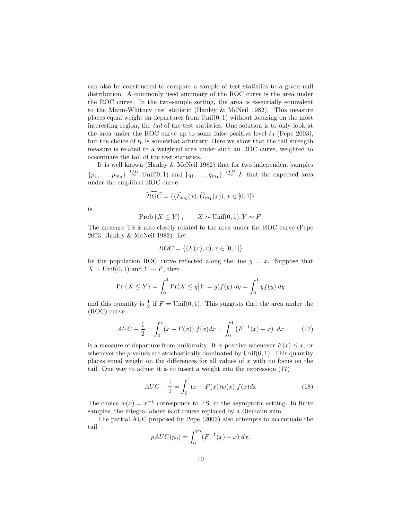can also be constructed to compare a sample of test statistics to a given null distribution. A commonly used summary of the ROC curve is the area under the ROC curve. In the two-sample setting, the area is essentially equivalent to the Mann-Whitney test statistic (Hanley & McNeil 1982). This measure places equal weight on departures from  $Unif(0, 1)$  without focusing on the most interesting region, the tail of the test statistics. One solution is to only look at the area under the ROC curve up to some false positive level  $t_0$  (Pepe 2003), but the choice of  $t_0$  is somewhat arbitrary. Here we show that the tail strength measure is related to a weighted area under such an ROC curve, weighted to accentuate the tail of the test statistics.

It is well known (Hanley & McNeil 1982) that for two independent samples  $\{p_1, \ldots, p_{m_0}\}$ <sup>IID</sup> Unif(0, 1) and  $\{q_1, \ldots, q_{m_1}\}$ <sup>IID</sup>  $\sim$  F that the expected area under the empirical ROC curve

$$
\widehat{ROC} = \{(\widehat{F}_{m_0}(x), \widehat{G}_{m_1}(x)), x \in [0,1]\}
$$

is

$$
\text{Prob}\left\{X \le Y\right\}, \qquad X \sim \text{Unif}(0, 1), Y \sim F.
$$

The measure TS is also closely related to the area under the ROC curve (Pepe 2003, Hanley & McNeil 1982). Let

$$
ROC = \{(F(x), x), x \in [0, 1]\}
$$

be the population ROC curve reflected along the line  $y = x$ . Suppose that  $X \sim \text{Unif}(0, 1)$  and  $Y \sim F$ , then

$$
\Pr\{X \le Y\} = \int_0^1 \Pr(X \le y | Y = y) f(y) \, dy = \int_0^1 y f(y) \, dy
$$

and this quantity is  $\frac{1}{2}$  if  $F = \text{Unif}(0, 1)$ . This suggests that the area under the (ROC) curve

$$
AUC - \frac{1}{2} = \int_0^1 (x - F(x)) f(x) dx = \int_0^1 (F^{-1}(x) - x) dx \tag{17}
$$

is a measure of departure from uniformity. It is positive whenever  $F(x) \leq x$ , or whenever the *p*-values are stochastically dominated by  $Unif(0, 1)$ . This quantity places equal weight on the differences for all values of  $x$  with no focus on the tail. One way to adjust it is to insert a weight into the expression (17)

$$
AUC - \frac{1}{2} = \int_0^1 (x - F(x))w(x) f(x)dx
$$
 (18)

The choice  $w(x) = x^{-1}$  corresponds to TS, in the asymptotic setting. In finite samples, the integral above is of course replaced by a Riemann sum.

The partial AUC proposed by Pepe (2003) also attempts to accentuate the tail

$$
pAUC(p_0) = \int_0^{p_0} (F^{-1}(x) - x) \, dx.
$$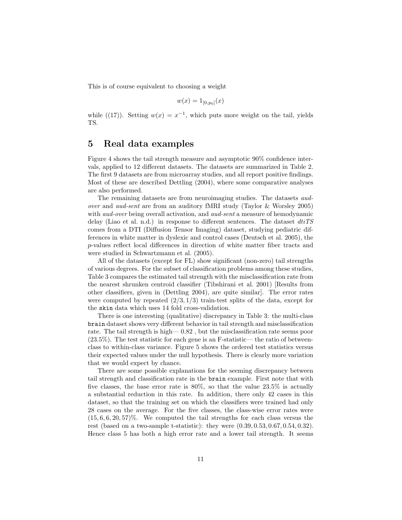This is of course equivalent to choosing a weight

$$
w(x) = 1_{[0,p_0]}(x)
$$

while ((17)). Setting  $w(x) = x^{-1}$ , which puts more weight on the tail, yields TS.

### 5 Real data examples

Figure 4 shows the tail strength measure and asymptotic 90% confidence intervals, applied to 12 different datasets. The datasets are summarized in Table 2. The first 9 datasets are from microarray studies, and all report positive findings. Most of these are described Dettling (2004), where some comparative analyses are also performed.

The remaining datasets are from neuroimaging studies. The datasets audover and aud-sent are from an auditory fMRI study (Taylor & Worsley 2005) with *aud-over* being overall activation, and *aud-sent* a measure of hemodynamic delay (Liao et al. n.d.) in response to different sentences. The dataset  $diT S$ comes from a DTI (Diffusion Tensor Imaging) dataset, studying pediatric differences in white matter in dyslexic and control cases (Deutsch et al. 2005), the p-values reflect local differences in direction of white matter fiber tracts and were studied in Schwartzmann et al. (2005).

All of the datasets (except for FL) show significant (non-zero) tail strengths of various degrees. For the subset of classification problems among these studies, Table 3 compares the estimated tail strength with the misclassification rate from the nearest shrunken centroid classifier (Tibshirani et al. 2001) [Results from other classifiers, given in (Dettling 2004), are quite similar]. The error rates were computed by repeated  $(2/3, 1/3)$  train-test splits of the data, except for the skin data which uses 14 fold cross-validation.

There is one interesting (qualitative) discrepancy in Table 3: the multi-class brain dataset shows very different behavior in tail strength and misclassification rate. The tail strength is high— 0.82 , but the misclassification rate seems poor  $(23.5\%)$ . The test statistic for each gene is an F-statistic— the ratio of betweenclass to within-class variance. Figure 5 shows the ordered test statistics versus their expected values under the null hypothesis. There is clearly more variation that we would expect by chance.

There are some possible explanations for the seeming discrepancy between tail strength and classification rate in the brain example. First note that with five classes, the base error rate is 80%, so that the value 23.5% is actually a substantial reduction in this rate. In addition, there only 42 cases in this dataset, so that the training set on which the classifiers were trained had only 28 cases on the average. For the five classes, the class-wise error rates were  $(15, 6, 6, 20, 57)\%$ . We computed the tail strengths for each class versus the rest (based on a two-sample t-statistic): they were (0.39, 0.53, 0.67, 0.54, 0.32). Hence class 5 has both a high error rate and a lower tail strength. It seems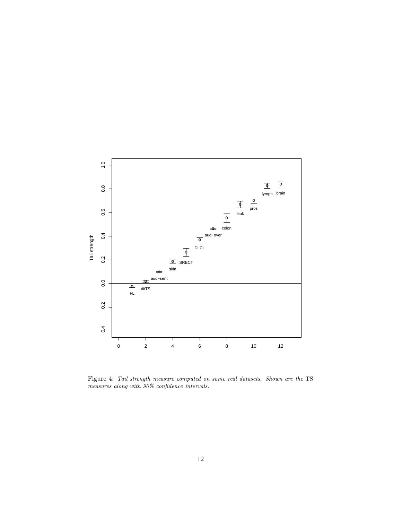

Figure 4: Tail strength measure computed on some real datasets. Shown are the TS measures along with 90% confidence intervals.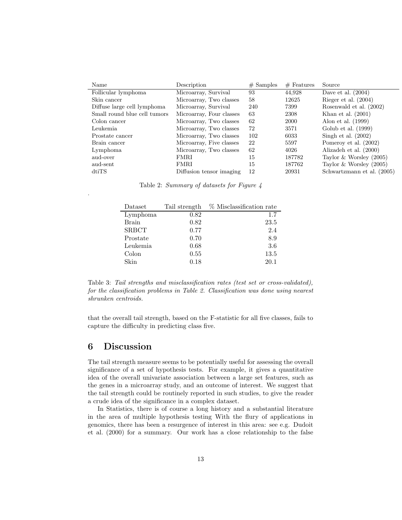| Name                         | Description              | $#$ Samples | $#$ Features | Source                     |
|------------------------------|--------------------------|-------------|--------------|----------------------------|
| Follicular lymphoma          | Microarray, Survival     | 93          | 44,928       | Dave et al. $(2004)$       |
| Skin cancer                  | Microarray, Two classes  | 58          | 12625        | Rieger et al. $(2004)$     |
| Diffuse large cell lymphoma  | Microarray, Survival     | 240         | 7399         | Rosenwald et al. (2002)    |
| Small round blue cell tumors | Microarray, Four classes | 63          | 2308         | Khan et al. $(2001)$       |
| Colon cancer                 | Microarray, Two classes  | 62          | 2000         | Alon et al. $(1999)$       |
| Leukemia                     | Microarray, Two classes  | 72          | 3571         | Golub et al. $(1999)$      |
| Prostate cancer              | Microarray, Two classes  | 102         | 6033         | Singh et al. $(2002)$      |
| Brain cancer                 | Microarray, Five classes | 22          | 5597         | Pomeroy et al. (2002)      |
| Lymphoma                     | Microarray, Two classes  | 62          | 4026         | Alizadeh et al. (2000)     |
| aud-over                     | FMRI                     | 15          | 187782       | Taylor & Worsley $(2005)$  |
| aud-sent                     | FMRI                     | 15          | 187762       | Taylor & Worsley $(2005)$  |
| $dt$ i $TS$                  | Diffusion tensor imaging | 12          | 20931        | Schwartzmann et al. (2005) |

Table 2: Summary of datasets for Figure 4

| Dataset      | Tail strength | % Misclassification rate |
|--------------|---------------|--------------------------|
| Lymphoma     | 0.82          | 1.7                      |
| <b>Brain</b> | 0.82          | 23.5                     |
| <b>SRBCT</b> | 0.77          | 2.4                      |
| Prostate     | 0.70          | 8.9                      |
| Leukemia     | 0.68          | 3.6                      |
| Colon        | 0.55          | 13.5                     |
| Skin         | 0.18          | 20.1                     |

Table 3: Tail strengths and misclassification rates (test set or cross-validated), for the classification problems in Table 2. Classification was done using nearest shrunken centroids.

that the overall tail strength, based on the F-statistic for all five classes, fails to capture the difficulty in predicting class five.

### 6 Discussion

.

The tail strength measure seems to be potentially useful for assessing the overall significance of a set of hypothesis tests. For example, it gives a quantitative idea of the overall univariate association between a large set features, such as the genes in a microarray study, and an outcome of interest. We suggest that the tail strength could be routinely reported in such studies, to give the reader a crude idea of the significance in a complex dataset.

In Statistics, there is of course a long history and a substantial literature in the area of multiple hypothesis testing With the flury of applications in genomics, there has been a resurgence of interest in this area: see e.g. Dudoit et al. (2000) for a summary. Our work has a close relationship to the false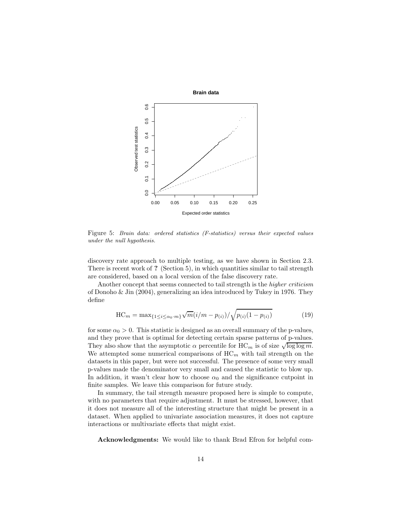

Figure 5: Brain data: ordered statistics (F-statistics) versus their expected values under the null hypothesis.

discovery rate approach to multiple testing, as we have shown in Section 2.3. There is recent work of ? (Section 5), in which quantities similar to tail strength are considered, based on a local version of the false discovery rate.

Another concept that seems connected to tail strength is the *higher criticism* of Donoho & Jin (2004), generalizing an idea introduced by Tukey in 1976. They define

$$
HC_m = \max_{\{1 \le i \le \alpha_0 \cdot m\}} \sqrt{m} (i/m - p_{(i)}) / \sqrt{p_{(i)} (1 - p_{(i)})}
$$
(19)

for some  $\alpha_0 > 0$ . This statistic is designed as an overall summary of the p-values, and they prove that is optimal for detecting certain sparse patterns of p-values. They also show that the asymptotic  $\alpha$  percentile for  $HC_m$  is of size  $\sqrt{\log \log m}$ . We attempted some numerical comparisons of  $HC_m$  with tail strength on the datasets in this paper, but were not successful. The presence of some very small p-values made the denominator very small and caused the statistic to blow up. In addition, it wasn't clear how to choose  $\alpha_0$  and the significance cutpoint in finite samples. We leave this comparison for future study.

In summary, the tail strength measure proposed here is simple to compute, with no parameters that require adjustment. It must be stressed, however, that it does not measure all of the interesting structure that might be present in a dataset. When applied to univariate association measures, it does not capture interactions or multivariate effects that might exist.

Acknowledgments: We would like to thank Brad Efron for helpful com-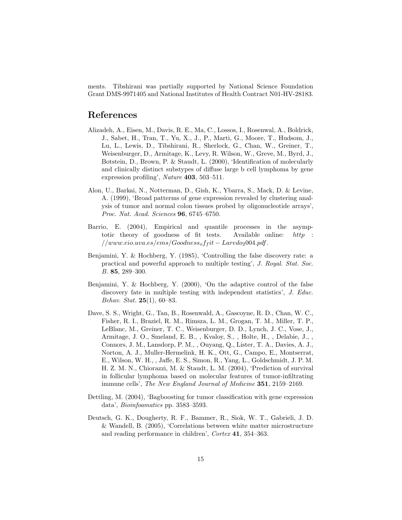ments. Tibshirani was partially supported by National Science Foundation Grant DMS-9971405 and National Institutes of Health Contract N01-HV-28183.

### References

- Alizadeh, A., Eisen, M., Davis, R. E., Ma, C., Lossos, I., Rosenwal, A., Boldrick, J., Sabet, H., Tran, T., Yu, X., J., P., Marti, G., Moore, T., Hudsom, J., Lu, L., Lewis, D., Tibshirani, R., Sherlock, G., Chan, W., Greiner, T., Weisenburger, D., Armitage, K., Levy, R. Wilson, W., Greve, M., Byrd, J., Botstein, D., Brown, P. & Staudt, L. (2000), 'Identification of molecularly and clinically distinct substypes of diffuse large b cell lymphoma by gene expression profiling', Nature 403, 503–511.
- Alon, U., Barkai, N., Notterman, D., Gish, K., Ybarra, S., Mack, D. & Levine, A. (1999), 'Broad patterms of gene expression revealed by clustering analysis of tumor and normal colon tissues probed by oligonucleotide arrays', Proc. Nat. Acad. Sciences 96, 6745–6750.
- Barrio, E. (2004), Empirical and quantile processes in the asymptotic theory of goodness of fit tests. Available online: http :  $//www.eio.wa.es/ems/Goodness_of_fit-Laredo_2004.pdf.$
- Benjamini, Y. & Hochberg, Y. (1985), 'Controlling the false discovery rate: a practical and powerful approach to multiple testing', J. Royal. Stat. Soc. B. 85, 289–300.
- Benjamini, Y. & Hochberg, Y. (2000), 'On the adaptive control of the false discovery fate in multiple testing with independent statistics', J. Educ. Behav. Stat.  $25(1)$ , 60-83.
- Dave, S. S., Wright, G., Tan, B., Rosenwald, A., Gascoyne, R. D., Chan, W. C., Fisher, R. I., Braziel, R. M., Rimsza, L. M., Grogan, T. M., Miller, T. P., LeBlanc, M., Greiner, T. C., Weisenburger, D. D., Lynch, J. C., Vose, J., Armitage, J. O., Smeland, E. B., , Kvaloy, S., , Holte, H., , Delabie, J., , Connors, J. M., Lansdorp, P. M., , Ouyang, Q., Lister, T. A., Davies, A. J., Norton, A. J., Muller-Hermelink, H. K., Ott, G., Campo, E., Montserrat, E., Wilson, W. H., , Jaffe, E. S., Simon, R., Yang, L., Goldschmidt, J. P. M. H. Z. M. N., Chiorazzi, M. & Staudt, L. M. (2004), 'Prediction of survival in follicular lymphoma based on molecular features of tumor-infiltrating immune cells', The New England Journal of Medicine 351, 2159–2169.
- Dettling, M. (2004), 'Bagboosting for tumor classification with gene expression data', Bioinfoamatics pp. 3583–3593.
- Deutsch, G. K., Dougherty, R. F., Bammer, R., Siok, W. T., Gabrieli, J. D. & Wandell, B. (2005), 'Correlations between white matter microstructure and reading performance in children', Cortex 41, 354-363.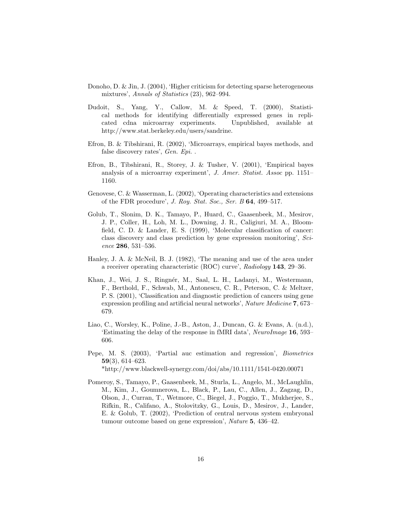- Donoho, D. & Jin, J. (2004), 'Higher criticism for detecting sparse heterogeneous mixtures', Annals of Statistics (23), 962–994.
- Dudoit, S., Yang, Y., Callow, M. & Speed, T. (2000), Statistical methods for identifying differentially expressed genes in replicated cdna microarray experiments. Unpublished, available at http://www.stat.berkeley.edu/users/sandrine.
- Efron, B. & Tibshirani, R. (2002), 'Microarrays, empirical bayes methods, and false discovery rates', Gen. Epi. .
- Efron, B., Tibshirani, R., Storey, J. & Tusher, V. (2001), 'Empirical bayes analysis of a microarray experiment', J. Amer. Statist. Assoc pp. 1151– 1160.
- Genovese, C. & Wasserman, L. (2002), 'Operating characteristics and extensions of the FDR procedure', J. Roy. Stat. Soc., Ser. B 64, 499–517.
- Golub, T., Slonim, D. K., Tamayo, P., Huard, C., Gaasenbeek, M., Mesirov, J. P., Coller, H., Loh, M. L., Downing, J. R., Caligiuri, M. A., Bloomfield, C. D. & Lander, E. S. (1999), 'Molecular classification of cancer: class discovery and class prediction by gene expression monitoring', Science 286, 531–536.
- Hanley, J. A. & McNeil, B. J. (1982), 'The meaning and use of the area under a receiver operating characteristic (ROC) curve',  $Radiology 143, 29-36$ .
- Khan, J., Wei, J. S., Ringnér, M., Saal, L. H., Ladanyi, M., Westermann, F., Berthold, F., Schwab, M., Antonescu, C. R., Peterson, C. & Meltzer, P. S. (2001), 'Classification and diagnostic prediction of cancers using gene expression profiling and artificial neural networks', Nature Medicine 7, 673– 679.
- Liao, C., Worsley, K., Poline, J.-B., Aston, J., Duncan, G. & Evans, A. (n.d.), 'Estimating the delay of the response in fMRI data', NeuroImage 16, 593– 606.
- Pepe, M. S. (2003), 'Partial auc estimation and regression', Biometrics 59(3), 614–623. \*http://www.blackwell-synergy.com/doi/abs/10.1111/1541-0420.00071
- Pomeroy, S., Tamayo, P., Gaasenbeek, M., Sturla, L., Angelo, M., McLaughlin, M., Kim, J., Goumnerova, L., Black, P., Lau, C., Allen, J., Zagzag, D., Olson, J., Curran, T., Wetmore, C., Biegel, J., Poggio, T., Mukherjee, S., Rifkin, R., Califano, A., Stolovitzky, G., Louis, D., Mesirov, J., Lander,

tumour outcome based on gene expression', Nature 5, 436-42.

E. & Golub, T. (2002), 'Prediction of central nervous system embryonal